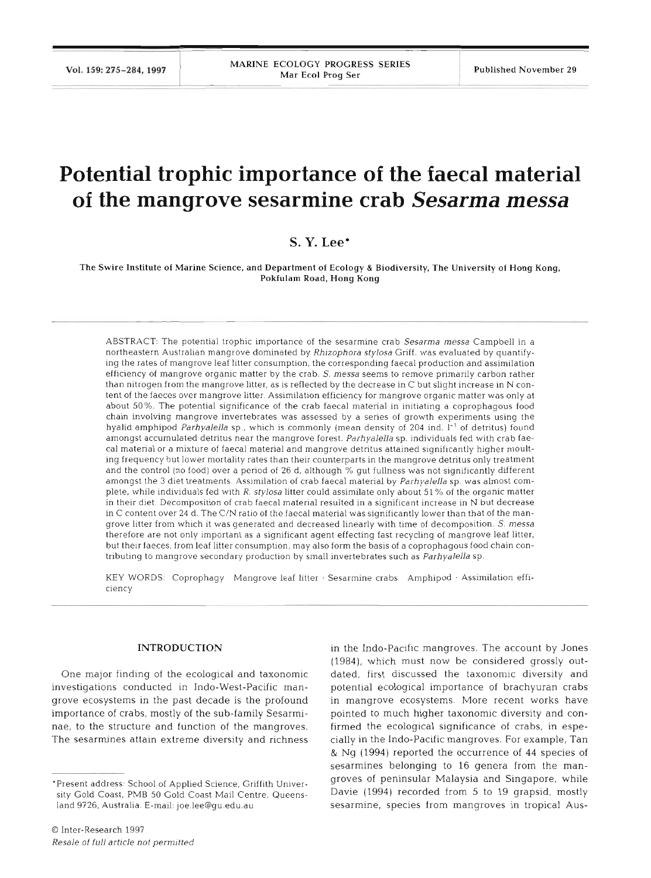# **Potential trophic importance of the faecal material of the mangrove sesarmine crab** *Sesarma messa*

## **S. Y. Lee\***

The Swire Institute of Marine Science, and Department of Ecology & Biodiversity, The University of Hong Kong, Pokfulam Road, Hong Kong

ABSTRACT: The potential trophic importance of the sesarmine crab Sesarma messa Campbell in a northeastern Australian mangrove dominated by Rhizophora stylosa Griff. was evaluated by quantifying the rates of mangrove leaf litter consumption, the corresponding faecal production and assimilation efficiency of mangrove organic matter by the crab. S, *messa* seems to remove primarily carbon rather than nitrogen from the mangrove litter, as is reflected by the decrease in  $C$  but slight increase in  $N$  content of the faeces over mangrove litter. Assimilation efficiency for mangrove organic matter was only at about 50%. The potential significance of the crab faecal material in initiating a coprophagous food chain involving mangrove invertebrates was assessed by a series of growth experiments using the hyalid amphipod Parhyalella sp., which is commonly (mean density of 204 ind.  $I<sup>-1</sup>$  of detritus) found amongst accumulated detritus near the mangrove forest. Parhyalella sp. individuals fed with crab faecal material or a mixture of faecal material and mangrove detritus attained significantly higher moulting frequency but lower mortality rates than their counterparts in the mangrove detritus only treatment and the control (no food) over a period of 26 d, although % gut fullness was not significantly different amongst the **3** diet treatments. Assimilation of crab faecal material by Parhyalella sp. was almost complete. while individuals fed with R. stylosa litter could assimilate only about 51 % of the organic matter in their diet. Decomposition of crab faecal material resulted in a significant increase in N but decrease in C content over 24 d. The C/N ratio of the faecal material was significantly lower than that of the mangrove litter from which it was generated and decreased linearly with time of decomposition. S. messa therefore are not only important as a significant agent effecting fast recycling of mangrove leaf litter, but their faeces, from leaf litter consumption, may also form the basis of a coprophagous food chain contributing to mangrove secondary production by small invertebrates such as Parhyalella sp.

KEY WORDS: Coprophagy Mangrove leaf litter . Sesarmine crabs Amphlpod . Assinlilation efficiency

### INTRODUCTION

One major finding of the ecological and taxonomic investigations conducted in Indo-West-Pacific mangrove ecosystems in the past decade is the profound importance of crabs, mostly of the sub-family Sesarminae, to the structure and function of the mangroves. The sesarmines attain extreme diversity and richness

in the Indo-Pacific mangroves. The account by Jones (1984), which must now be considered grossly outdated, first discussed the taxonomic diversity and potential ecological importance of brachyuran crabs in mangrove ecosystems. More recent works have pointed to much higher taxonomic diversity and confirmed the ecological significance of crabs, in especially in the Indo-Pacific mangroves. For example, Tan & Ng (1994) reported the occurrence of 44 species of sesarmines belonging to 16 genera from the mangroves of peninsular Malaysia and Singapore, while Davie (1994) recorded from 5 to 19 grapsid, mostly sesarmine, species from mangroves in tropical Aus-

<sup>&#</sup>x27;Present address: School of Applied Science. Griffith University Gold Coast. PMB 50 Gold Coast Mail Centre, Queensland 9726, Australia. E-mail: joe.lee@gu.edu.au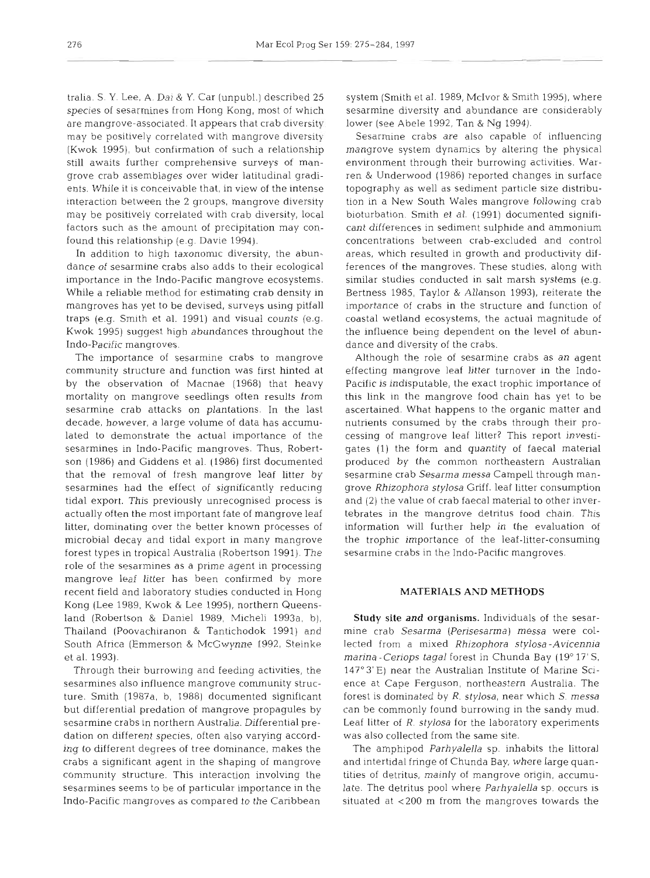tralia. S. Y. Lee, A. Dal *S( Y.* Car (unpubl.) described 25 species of sesarmines from Hong Kong, most of which are mangrove-associated. It appears that crab diversity may be positively correlated with mangrove diversity (Kwok 1995), but confirmation of such a relationship still awaits further comprehensive surveys of mangrove crab assemblages over wider latitudinal gradients. While it is conceivable that, in view of the intense interaction between the 2 groups, mangrove diversity may be positively correlated with crab diversity, local factors such as the amount of precipitation may confound this relationship (e.g. Davie 1994).

In addition to high taxonomic diversity, the abundance of sesarrnine crabs also adds to their ecological importance in the Indo-Pacific mangrove ecosystems. While a reliable method for estimating crab density in mangroves has yet to be devised, surveys using pitfall traps (e.g. Smith et al. 1991) and visual counts (e.g. Kwok 1995) suggest high abundances throughout the Jndo-Pacific mangroves.

The importance of sesarmine crabs to mangrove community structure and function was first hinted at by the observation of Macnae (1968) that heavy mortality on mangrove seedlings often results from sesarmine crab attacks on plantations. In the last decade, however, a large volume of data has accumulated to demonstrate the actual importance of the sesarrnines in Indo-Pacific mangroves. Thus, Robertson (1986) and Giddens et al. (1986) first documented that the removal of fresh mangrove leaf litter by sesarmines had the effect of significantly reducing tidal export. This previously unrecognised process is actually often the most important fate of mangrove leaf litter, dominating over the better known processes of microbial decay and tidal export in many mangrove forest types in tropical Australia (Robertson 1991). The role of the sesarmines as a prime agent in processing mangrove leaf litter has been confirmed by more recent field and laboratory studies conducted in Hong Kong (Lee 1989, Kwok & Lee 1995), northern Queensland (Robertson & Daniel 1989, Micheli 1993a, b), Thailand (Poovachiranon & Tantichodok 1991) and South Africa (Emmerson & McCwynne 1992, Steinks et al. 1993).

Through their burrowing and feeding activities, the sesarmines also influence mangrove community structure. Smith (1987a, b, 1988) documented significant but differential predation of mangrove propagules by sesarmine crabs in northern Australia. Differential predation on different species, often also varying according to different degrees of tree dominance, makes the crabs a significant agent in the shaping of mangrove community structure. This interaction involving the sesarmines seems to be of particular importance in the Indo-Pacific mangroves as compared to the Caribbean

system (Smith et al. 1989, McIvor **8:** Smith 1995), where sesarmine diversity and abundance are considerably lower (see Abele 1992, Tan & Ng 1994).

Sesarmine crabs are also capable of influencing mangrove system dynamics by altering the physical environment through their burrowing activities. Warren & Underwood (1986) reported changes in surface topography as well as sediment particle size distribution in a New South Wales mangrove following crab bioturbation. Smith et al. (1991) documented significant differences in sediment sulphide and ammonium concentrations between crab-excluded and control areas, which resulted in growth and productivity differences of the mangroves. These studies, along with similar studies conducted in salt marsh systems (e.g. Bertness 1985, Taylor & Allanson 1993), reiterate the importance of crabs in the structure and function of coastal wetland ecosystems, the actual magnitude of the influence being dependent on the level of abundance and diversity of the crabs.

Although the role of sesarmine crabs as an agent effecting mangrove leaf litter turnover in the Indo-Pacific is indisputable, the exact trophic importance of this link in the mangrove food chain has yet to be ascertained. What happens to the organic matter and nutrients consumed by the crabs through their processing of mangrove leaf litter? This report investigates (1) the form and quantity of faecal material produced by the common northeastern Australian sesarmine crab *Sesarma messa* Campell through mangrove *Rhizophora stylosa* Griff. leaf litter consumption and (2) the value of crab faecal material to other invertebrates in the mangrove detritus food chain. This information will further help in the evaluation of the trophic importance of the leaf-litter-consuming sesarmine crabs in the Indo-Pacific mangroves.

### **MATERIALS AND METHODS**

Study site and organisms. Individuals of the sesarmine crab *Sesarrna (Perisesarrna) messa* were collected from a mixed *Rhizophora stylosa-Avicennja marina -Ceriops tagal* forest in Chunda Bay (19" 17' S, 147'3'E) near the Australian Institute of Marine Science at Cape Ferguson, northeastern Australia. The forest is dominated by R. *stylosa,* near which *S. messa*  can be commonly found burrowing in the sandy mud. Leaf litter of R. *stylosa* for the laboratory experiments was also collected from the same site.

The amphipod *Parhyalella* sp. inhabits the littoral and intertidal fringe of Chunda Bay, where large quantities of detritus, mainly of mangrove origin, accumulate. The detritus pool where *Parhyalella* sp. occurs is situated at <200 m from the mangroves towards the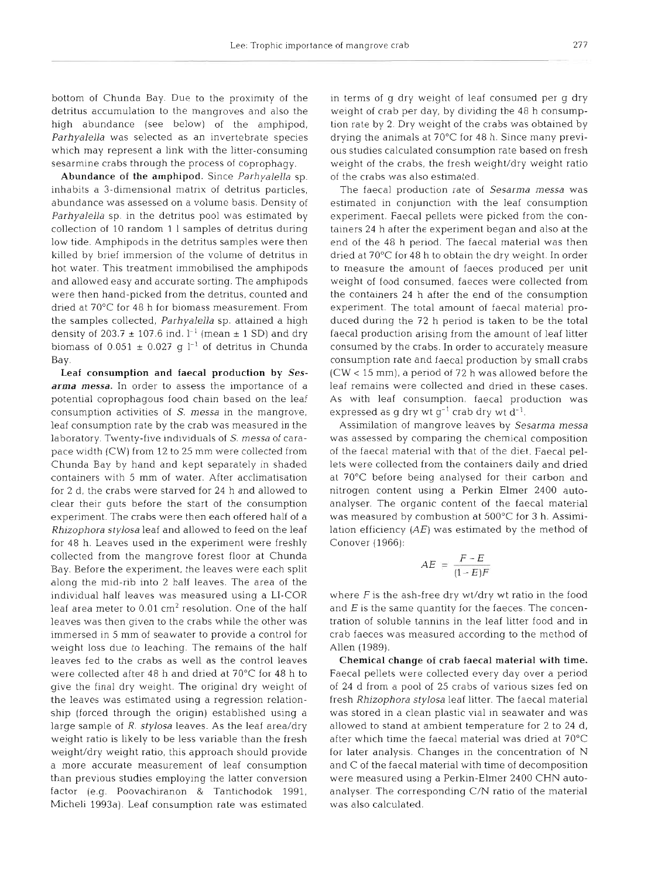bottom of Chunda Bay. Due to the proximity of the detritus accumulation to the mangroves and also the high abundance (see below) of the amphipod, *Parhyalella* was selected as an invertebrate species which may represent a link with the litter-consuming sesarmine crabs through the process of coprophagy.

Abundance of the amphipod. Since *Parhyalella* sp. inhabits a 3-dimensional matrix of detritus particles. abundance was assessed on a volume basis. Density of *Parhyalella* sp. in the detritus pool was estimated by collection of 10 random 1 1 samples of detritus during low tide. Amphipods in the detritus samples were then killed by brief immersion of the volume of detritus in hot water. This treatment immobilised the amphipods and allowed easy and accurate sorting. The amphipods were then hand-picked from the detritus, counted and dried at 70°C for 48 h for biomass measurement. From the samples collected, *Parhyalella* sp. attained a high density of 203.7  $\pm$  107.6 ind.  $l^{-1}$  (mean  $\pm$  1 SD) and dry biomass of  $0.051 \pm 0.027$  g l<sup>-1</sup> of detritus in Chunda Bay.

Leaf consumption and faecal production by *Sesarma messa.* In order to assess the importance of a potential coprophagous food chain based on the leaf consumption activities of S, *messa* in the mangrove, leaf consumption rate by the crab was measured in the laboratory. Twenty-five individuals of *S. messa* of carapace width (CW) from 12 to 25 mm were collected from Chunda Bay by hand and kept separately in shaded containers with 5 mm of water. After acclimatisation for 2 d, the crabs were starved for 24 h and allowed to clear their guts before the start of the consumption experiment. The crabs were then each offered half of a *Rhizophora stylosa* leaf and allowed to feed on the leaf for 48 h. Leaves used in the experiment were freshly collected from the mangrove forest floor at Chunda Bay. Before the experiment, the leaves were each split along the mid-rib into 2 half leaves. The area of the individual half leaves was measured using a LI-COR leaf area meter to  $0.01 \text{ cm}^2$  resolution. One of the hal leaves was then given to the crabs while the other was immersed in 5 mm of seawater to provide a control for weight loss due to leaching. The remains of the half leaves fed to the crabs as well as the control leaves were collected after 48 h and dried at 70°C for 48 h to give the final dry weight. The original dry weight of the leaves was estimated using a regression relationship (forced through the origin) established using a large sample of *R. stylosa* leaves. As the leaf area/dry weight ratio is likely to be less variable than the fresh weight/dry weight ratio, this approach should provide a more accurate measurement of leaf consumption than previous studies employing the latter conversion factor (e.g. Poovachiranon & Tantichodok 1991, Micheli 1993a). Leaf consumption rate was estimated

in terms of g dry weight of leaf consumed per g dry weight of crab per day, by dividing the 48 h consumption rate by 2. Dry weight of the crabs was obtained by drying the animals at 70°C for 48 h. Since many previous studles calculated consumption rate based on fresh weight of the crabs, the fresh weight/dry weight ratio of the crabs was also estimated.

The faecal production rate of Sesarma messa was estimated in conjunction with the leaf consumption experiment. Faecal pellets were picked from the containers 24 h after the experiment began and also at the end of the 48 h period. The faecal material was then dried at 70°C for 48 h to obtain the dry weight. In order to measure the amount of faeces produced per unit weight of food consumed, faeces were collected from the containers 24 h after the end of the consumption experiment. The total amount of faecal material produced during the 72 h period is taken to be the total faecal production arising from the amount of leaf litter consumed by the crabs. In order to accurately measure consumption rate and faecal production by small crabs (CW < 15 mm), a period of 72 h was allowed before the leaf remains were collected and dried in these cases. As with leaf consumption, faecal production was expressed as g dry wt  $g^{-1}$  crab dry wt  $d^{-1}$ .

Assimilation of mangrove leaves by *Sesarma messa*  was assessed by comparing the chemical composition of the faecal material with that of the diet. Faecal pellets were collected from the containers daily and dried at 70°C before being analysed for their carbon and nitrogen content using a Perkin Elmer 2400 autoanalyser. The organic content of the faecal material was measured by combustion at 500°C for 3 h. Assimilation efficiency  $(AE)$  was estimated by the method of Conover (1966):

$$
AE = \frac{F - E}{(1 - E)F}
$$

where  $F$  is the ash-free dry wt/dry wt ratio in the food and  $E$  is the same quantity for the faeces. The concentration of soluble tannins in the leaf litter food and in crab faeces was measured according to the method of Allen (1989).

Chemical change of crab faecal material with time. Faecal pellets were collected every day over a period of 24 d from a pool of 25 crabs of various sizes fed on fresh *Rhizophora stylosa* leaf litter. The faecal material was stored in a clean plastic vial in seawater and was allowed to stand at ambient temperature for 2 to 24 d, after which time the faecal material was dried at 70°C for later analysis. Changes in the concentration of N and C of the faecal material with time of decomposition were measured using a Perkin-Elmer 2400 CHN autoanalyser. The corresponding C/N ratio of the material was also calculated.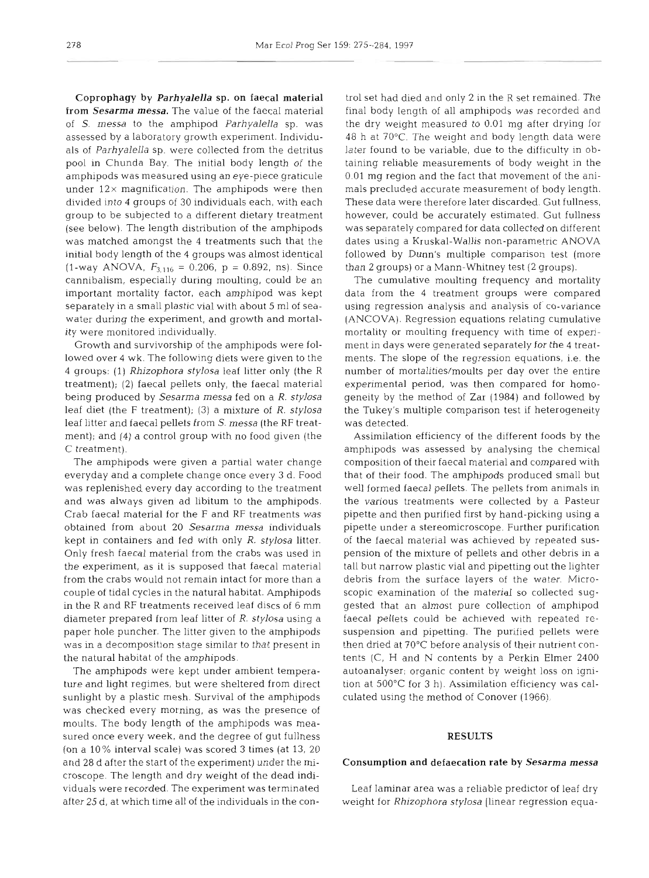Coprophagy by Parhyalella sp. on faecal material from Sesarma messa. The value of the faecal material of S. messa to the amphipod Parhyalella sp. was assessed by a laboratory growth experiment. Individuals of Parhyalella sp. were collected from the detritus pool in Chunda Bay. The initial body length of the amphipods was measured using an eye-piece graticule under  $12\times$  magnification. The amphipods were then divided into 4 groups of 30 individuals each, with each group to be subjected to a different dietary treatment (see below). The length distribution of the amphipods was matched amongst the 4 treatments such that the initial body length of the 4 groups was almost identical  $(1\text{-way ANOVA}, F_{3,116} = 0.206, p = 0.892, ns)$ . Since cannibalism, especially during moulting, could be an important mortality factor, each amphipod was kept separately in a small plastic vial with about 5 m1 of seawater during the experiment, and growth and mortality were monitored individually.

Growth and survivorship of the amphipods were followed over 4 wk. The following diets were given to the 4 groups: (1) Rhizophora stylosa leaf litter only (the R treatment); (2) faecal pellets only, the faecal material being produced by Sesarma messa fed on a R. stylosa leaf diet (the F treatment); **(3)** a mixture of R, stylosa leaf litter and faecal pellets from S. messa (the RF treatment); and (4) a control group with no food given (the C treatment).

The amphipods were given a partial water change everyday and a complete change once every **3** d. Food was replenished every day according to the treatment and was always given ad libitum to the amphipods. Crab faecal material for the F and RF treatments was obtained from about 20 Sesarma messa individuals kept in containers and fed with only R. stylosa litter. Only fresh faecal material from the crabs was used in the experiment, as it is supposed that faecal material from the crabs would not remain intact for more than a couple of tidal cycles in the natural habitat. Amphipods in the R and RF treatments received leaf discs of 6 mm diameter prepared from leaf litter of R. stylosa using a paper hole puncher. The litter given to the amphipods was in a decomposition stage similar to that present in the natural habitat of the amphipods.

The amphipods were kept under ambient temperature and light regimes, but were sheltered from direct sunlight by a plastic mesh. Survival of the amphipods was checked every morning, as was the presence of moults. The body length of the amphipods was measured once every week, and the degree of gut fullness (on a 10% interval scale) was scored 3 times (at 13, 20 and 28 d after the start of the experiment) under the microscope. The length and dry weight of the dead individuals were recorded. The experiment was terminated after 25 d, at which time all of the individuals in the con-

rol set had died and only 2 in the R set remained. The<br>nial body length of all amphipods was recorded and<br>he dry weight measured to 0.01 mg after drying for<br>B8 h at 70°C. The weight and body length dask were<br>therefore thei

### **RESULTS**

Consumption and defaecation rate by *Sesarma messa*<br>Leaf laminar area was a reliable predictor of leaf dry<br>weight for *Rhizophora stylosa* [linear regression equa-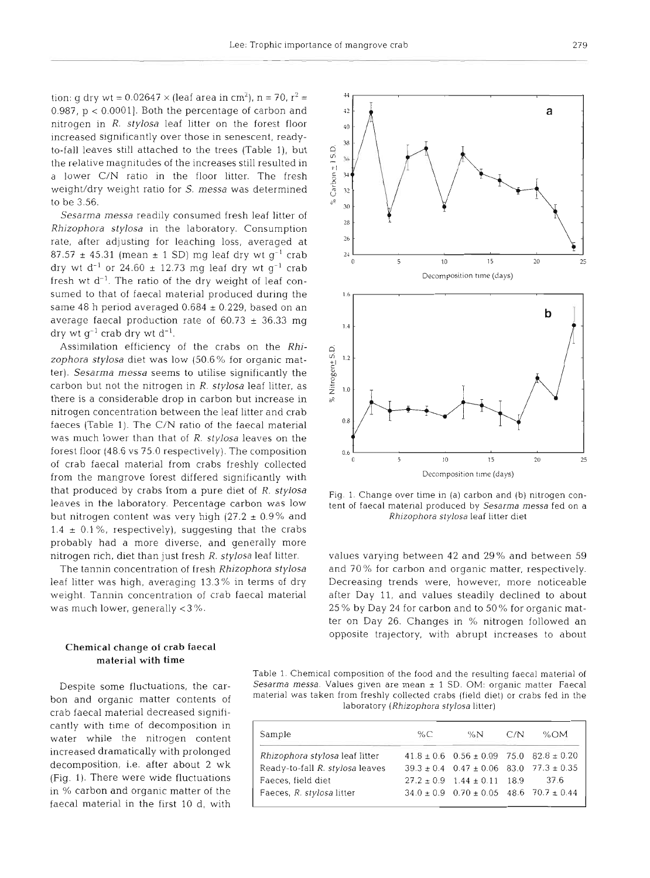tion: g dry wt =  $0.02647 \times$  (leaf area in cm<sup>2</sup>), n = 70, r<sup>2</sup> = 0.987,  $p < 0.0001$ ]. Both the percentage of carbon and nitrogen in R. *stylosa* leaf litter on the forest floor increased significantly over those in senescent, readyto-fall leaves still attached to the trees (Table l), but the relative magnitudes of the increases still resulted in a lower C/N ratio in the floor litter. The fresh welght/dry weight ratio for S. *messa* was determined to be 3.56.

Sesarma messa readily consumed fresh leaf litter of *Rhizophora stylosa* in the laboratory. Consumption rate, after adjusting for leaching loss, averaged at  $87.57 \pm 45.31$  (mean  $\pm$  1 SD) mg leaf dry wt q<sup>-1</sup> crab dry wt d<sup>-1</sup> or 24.60  $\pm$  12.73 mg leaf dry wt g<sup>-1</sup> crab fresh wt  $d^{-1}$ . The ratio of the dry weight of leaf consumed to that of faecal material produced during the same 48 h period averaged  $0.684 \pm 0.229$ , based on an average faecal production rate of  $60.73 \pm 36.33$  mg dry wt  $q^{-1}$  crab dry wt  $d^{-1}$ .

Assimilation efficiency of the crabs on the *Rhizophora stylosa* diet was low (50.6% for organic matter). *Sesarma messa* seems to utilise significantly the carbon but not the nitrogen in R. *stylosa* leaf litter, as there is a considerable drop in carbon but increase in nitrogen concentration between the leaf litter and crab faeces (Table 1). The C/N ratio of the faecal material was much lower than that of *R. stylosa* leaves on the forest floor (48.6 vs 75.0 respectively). The composition of crab faecal material from crabs freshly collected from the mangrove forest differed significantly with that produced by crabs from a pure diet of R. *stylosa*  leaves in the laboratory. Percentage carbon was low but nitrogen content was very high (27.2  $\pm$  0.9% and  $1.4 \pm 0.1\%$ , respectively), suggesting that the crabs probably had a more diverse, and generally more nitrogen rich, diet than just fresh R. *stylosa* leaf litter.

The tannin concentration of fresh *Rhizophora stylosa*  leaf litter was high, averaging 13.3% in terms of dry weight. Tannin concentration of crab faecal material was much lower, generally *c3* %.

### Chemical change of **crab** faecal material with **time**

Despite some fluctuations, the carbon and organic matter contents of crab faecal material decreased significantly with time of decomposition in water while the nitrogen content increased dramatically with prolonged decomposition, i.e. after about 2 wk (Fig. 1). There were wide fluctuations in % carbon and organic matter of the faecal material in the first 10 d, with

Fig. 1. Change over time in (a) carbon and (b) nitrogen content of faecal material produced by Sesarma messa fed on a Rhizophora stylosa leaf litter diet

values varying between 42 and 29% and between 59 and 70% for carbon and organic matter, respectively. Decreasing trends were, however, more noticeable after Day 11, and values steadily declined to about 25 % by Day 24 for carbon and to 50% for organic matter on Day 26. Changes in % nitrogen followed an opposite trajectory, with abrupt increases to about

Table 1. Chemical composition of the food and the resulting faecal material of Sesarma messa. Values given are mean ± 1 SD. OM: organic matter Faecal material was taken from freshly collected crabs (field diet) or crabs fed in the laboratory (Rhizophora stylosa litter)

| Sample                          | $\%C$ | %N                                                    | C/N | %OM  |
|---------------------------------|-------|-------------------------------------------------------|-----|------|
| Rhizophora stylosa leaf litter  |       | $41.8 \pm 0.6$ $0.56 \pm 0.09$ 75.0 $82.8 \pm 0.20$   |     |      |
| Ready-to-fall R. stylosa leaves |       | $39.3 \pm 0.4$ $0.47 \pm 0.06$ 83.0 $77.3 \pm 0.35$   |     |      |
| Faeces, field diet              |       | $27.2 \pm 0.9$ 1.44 $\pm$ 0.11 18.9                   |     | 37 6 |
| Faeces, R. stylosa litter       |       | $34.0 \pm 0.9$ $0.70 \pm 0.05$ $48.6$ $70.7 \pm 0.44$ |     |      |

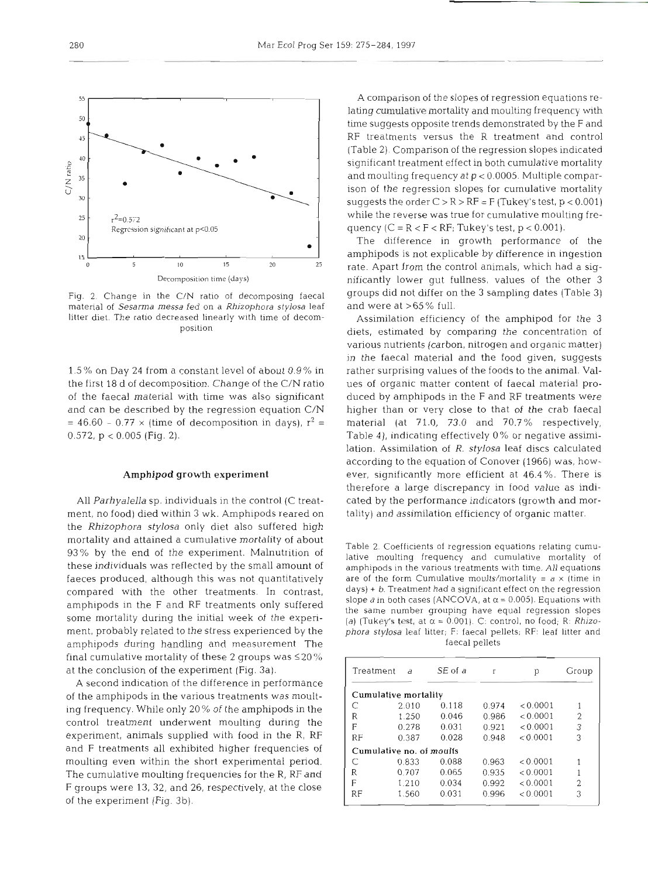

Fig. 2. Change in the C/N ratio of decomposing faecal material of Sesarma *messa* fed on a Rhjzophora stylosa leaf litter diet. The ratio decreased linearly with time of decomposition

1.5% on Day 24 from a constant level of about 0.9% in the first 18 d of decomposition. Change of the C/N ratio of the faecal material with time was also significant and can be described by the regression equation C/N  $=46.60 - 0.77 \times (time of decomposition in days), r<sup>2</sup> =$ 0.572,  $p < 0.005$  (Fig. 2).

### **Amphipod growth experiment**

All *Parhyalella* sp. individuals in the control (C treatment, no food) died within 3 wk. Amphipods reared on the *Rhizophora stylosa* only diet also suffered high mortality and attained a cumulative mortality of about 93% by the end of the experiment. Malnutrition of these individuals was reflected by the small amount of faeces produced, although this was not quantitatively compared with the other treatments. In contrast, amphipods in the F and RF treatments only suffered some mortality during the initial week of the experiment, probably related to the stress experienced by the amphipods during handling and measurement The final cumulative mortality of these 2 groups was  $\leq$  20% at the conclusion of the experiment (Fig. 3a).

A second indication of the difference in performance of the amphipods in the various treatments was moulting frequency. While only 20% of the amphipods in the control treatment underwent moulting during the experiment, animals supplied with food in the R, RF and F treatments all exhibited higher frequencies of moulting even within the short experimental period. The cumulative moulting frequencies for the R, RF and F groups were 13, **32,** and 26, respectively, at the close of the experiment (Fig. 3b).

A comparison of the slopes of regression equations relating cumulative mortality and moulting frequency with time suggests opposite trends demonstrated by the F and RF treatments versus the R treatment and control (Table 2). Comparison of the regression slopes indicated significant treatment effect in both cumulative mortality and moulting frequency at p < 0.0005. Multiple comparison of the regression slopes for cumulative mortality suggests the order  $C > R > RF = F$  (Tukey's test,  $p < 0.001$ ) while the reverse was true for cumulative moulting frequency  $(C = R < F < RF$ ; Tukey's test,  $p < 0.001$ ).

The difference in growth performance of the amphipods is not explicable by difference in ingestion rate. Apart from the control animals, which had a significantly lower gut fullness, values of the other **3**  groups did not differ on the 3 sampling dates (Table 3) and were at >65% full.

Assimilation efficiency of the amphipod for the **3**  diets, estimated by comparing the concentration of various nutrients (carbon, nitrogen and organic matter) in the faecal material and the food given, suggests rather surprising values of the foods to the animal. Values of organic matter content of faecal material produced by amphipods in the F and RF treatments were higher than or very close to that of the crab faecal material (at 71.0, 73.0 and 70.7% respectively, Table 4), indicating effectively 0% or negative assimilation. Assimilation of R. *stylosa* leaf discs calculated according to the equation of Conover (1966) was, however, significantly more efficient at 46.4%. There is therefore a large discrepancy in food value as indicated by the performance indicators (growth and mortality) and assimilation efficiency of organic matter.

Table 2. Coefficients of regression equations relating cumulative moulting frequency and cumulative mortality of amphipods in the various treatments with time. All equations are of the form Cumulative moults/mortality =  $a \times$  (time in days) + *b.* Treatment had a significant effect on the regression slope *a* in both cases (ANCOVA, at  $\alpha$  = 0.005). Equations with the same number grouping have equal regression slopes (a) (Tukey's test, at  $\alpha = 0.001$ ). C: control, no food; R: *Rhizophora* stylosa leaf litter; F: faecal pellets; RF: leaf litter and faecal pellets

| Treatment | $\theta$                 | SE of a | r     | p        | Group          |
|-----------|--------------------------|---------|-------|----------|----------------|
|           | Cumulative mortality     |         |       |          |                |
| C         | 2.010                    | 0.118   | 0.974 | < 0.0001 |                |
| R         | 1.250                    | 0.046   | 0.986 | < 0.0001 | $\overline{2}$ |
| F         | 0.278                    | 0.031   | 0.921 | < 0.0001 | 3              |
| <b>RF</b> | 0.387                    | 0.028   | 0.948 | < 0.0001 | 3              |
|           | Cumulative no. of moults |         |       |          |                |
| C         | 0.833                    | 0.088   | 0.963 | < 0.0001 |                |
| R         | 0.707                    | 0.065   | 0.935 | < 0.0001 |                |
| F         | 1.210                    | 0.034   | 0.992 | < 0.0001 | 2              |
| RF        | 1.560                    | 0.031   | 0.996 | < 0.0001 | 3              |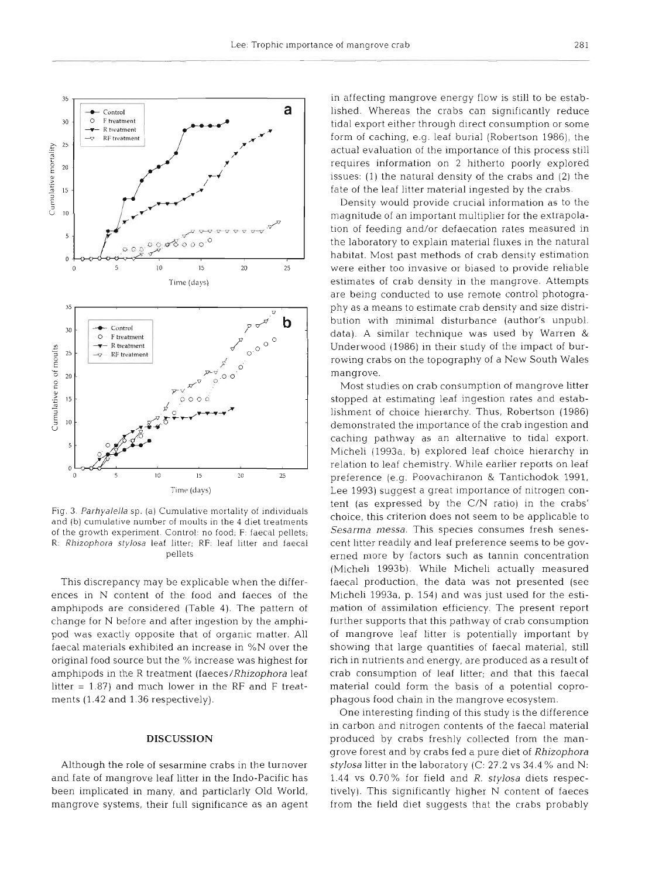

Fig. **3.** Parhyalella **sp.** (a) Cumulative mortality of individuals and (b) cumulative number of moults in the 4 diet treatments of the growth experiment. Control: no food; F: faecal pellets; R: Rhizophora stylosa leaf litter; RF: leaf litter and faecal pellets

This discrepancy may be explicable when the differences in N content of the food and faeces of the amphipods are considered (Table 4). The pattern of change for N before and after ingestion by the amphipod was exactly opposite that of organic matter. All faecal materials exhibited an increase in %N over the original food source but the % increase was highest for amphipods in the R treatment (faeces/Rhizophora leaf litter = 1.87) and much lower in the RF and F treatments (1.42 and 1.36 respectively).

### **DISCUSSION**

Although the role of sesarmine crabs in the turnover and fate of mangrove leaf litter in the Indo-Pacific has been implicated in many, and particlarly Old World, mangrove systems, their full significance as an agent

in affecting mangrove energy flow is still to be established. Whereas the crabs can significantly reduce tidal export either through direct consumption or some form of caching, e.g. leaf burial (Robertson 1986), the actual evaluation of the importance of this process still requires information on 2 hitherto poorly explored issues: (1) the natural density of the crabs and (2) the fate of the leaf litter material ingested by the crabs.

Density would provide crucial information as to the magnitude of an important multiplier for the extrapolation of feeding and/or defaecation rates measured in the laboratory to explain material fluxes in the natural habitat. Most past methods of crab density estimation were either too invasive or biased to provide reliable estimates of crab density in the mangrove. Attempts are being conducted to use remote control photography as a means to estimate crab density and size distribution with minimal disturbance (author's unpubl. data). A similar technique was used by Warren & Underwood (1986) in their study of the impact of burrowing crabs on the topography of a New South Wales mangrove.

Most studies on crab consumption of mangrove litter stopped at estimating leaf ingestion rates and establishment of choice hierarchy. Thus, Robertson (1986) demonstrated the importance of the crab ingestion and caching pathway as an alternative to tidal export. Micheli (1993a, b) explored leaf choice hierarchy in relation to leaf chemistry. While earlier reports on leaf preference (e.g. Poovachiranon & Tantichodok 1991, Lee 1993) suggest a great importance of nitrogen content (as expressed by the C/N ratio) in the crabs' choice, this criterion does not seem to be applicable to Sesarma messa. This species consumes fresh senescent litter readily and leaf preference seems to be governed more by factors such as tannin concentration (Micheli 1993b). While Micheli actually measured faecal production, the data was not presented (see Micheli 1993a, p. 154) and was just used for the estimation of assimilation efficiency. The present report further supports that this pathway of crab consumption of mangrove leaf litter is potentially important by showing that large quantities of faecal material, still rich in nutrients and energy, are produced as a result of crab consumption of leaf litter; and that this faecal material could form the basis of a potential coprophagous food chain in the mangrove ecosystem.

One interesting finding of this study is the difference in carbon and nitrogen contents of the faecal material produced by crabs freshly collected from the mangrove forest and by crabs fed a pure diet of Rhizophora stylosa litter in the laboratory (C:  $27.2$  vs  $34.4\%$  and N: 1.44 vs  $0.70\%$  for field and  $R$ . stylosa diets respectively). This significantly higher N content of faeces from the field diet suggests that the crabs probably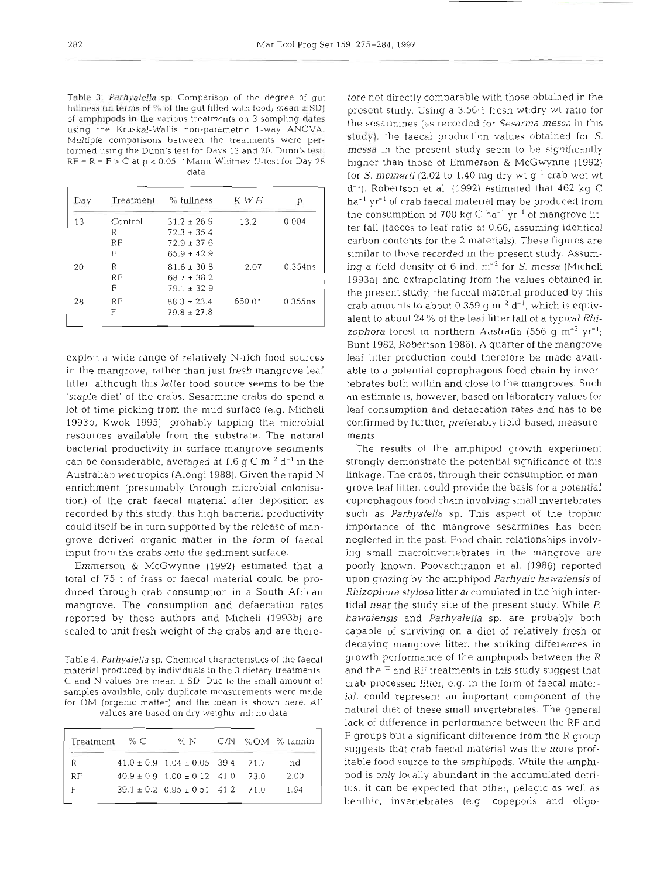Table **3.** *Parhyalella* sp. Comparison of the degree of gut fullness (in terms of **'70** of the gut filled with food; mean **2** SD) of amphipods in the various treatments on 3 sampling dates using the Kruskal-Wallis non-parametric l-way ANOVA. Multiple comparisons between the treatments were performed using the Dunn's test for Days 13 and 20. Dunn's test:  $RF = R = F > C$  at  $p < 0.05$ . 'Mann-Whitney U-test for Day 28 data

| Day | Treatment | % fullness      | $K-WH$          |         |
|-----|-----------|-----------------|-----------------|---------|
| 13  | Control   | $31.2 \pm 26.9$ | 13.2            | 0.004   |
|     | R         | $72.3 + 35.4$   |                 |         |
|     | RF        | $72.9 \pm 37.6$ |                 |         |
|     | F         | $65.9 + 42.9$   |                 |         |
| 20  | R         | $81.6 \pm 30.8$ | 2.07            | 0.354ns |
|     | RF        | $68.7 \pm 38.2$ |                 |         |
|     | F         | $79.1 \pm 32.9$ |                 |         |
| 28  | RF        | $88.3 \pm 23.4$ | $660.0^{\circ}$ | 0.355ns |
|     | F         | $79.8 \pm 27.8$ |                 |         |

exploit a wide range of relatively N-rich food sources in the mangrove, rather than just fresh mangrove leaf litter, although this latter food source seems to be the 'staple diet' of the crabs. Sesarmine crabs do spend a lot of time picking from the mud surface (e.g. Micheli 1993b, Kwok 1995), probably tapping the microbial resources available from the substrate. The natural bacterial productivity in surface mangrove sediments can be considerable, averaged at 1.6 g C  $\text{m}^{-2}$  d<sup>-1</sup> in the Australian wet tropics (Alongi 1988). Given the rapid N enrichment (presumably through microbial colonisation) of the crab faecal material after deposition as recorded by this study, this high bacterial productivity could itself be in turn supported by the release of mangrove derived organic matter in the form of faecal input from the crabs onto the sediment surface.

Emmerson & McGwynne (1992) estimated that a total of 75 t of frass or faecal material could be produced through crab consumption in a South African mangrove. The consumption and defaecation rates reported by these authors and Micheli (1993b) are scaled to unit fresh weight of the crabs and are there-

Table 4. *Parhyalella* sp. Chemical charactenstics of the faecal material produced by individuals in the 3 dietary treatments.  $C$  and N values are mean  $\pm$  SD. Due to the small amount of samples available, only duplicate measurements were made for OM (organic matter) and the mean is shown here. All values are based on dry weights. nd: no data

|    | $Treatment \ < C$ | % N                                        |  | C/N %OM % tannin |
|----|-------------------|--------------------------------------------|--|------------------|
| R  |                   | $41.0 \pm 0.9$ $1.04 \pm 0.05$ 39.4 71.7   |  | nd               |
| RF |                   | $40.9 \pm 0.9$ $1.00 \pm 0.12$ $41.0$ 73.0 |  | 2.00             |
| F  |                   | $39.1 \pm 0.2$ $0.95 \pm 0.51$ 41.2 71.0   |  | 1.94             |

fore not directly comparable with those obtained in the present study. Using a 3.56~1 fresh wt:dry wt ratio for the sesarmines (as recorded for *Sesarma messa* in this study), the faecal production values obtained for S. *messa* in the present study seem to be significantly higher than those of Emmerson & McGwynne (1992) for *S. meinerti* (2.02 to 1.40 mg dry wt  $g^{-1}$  crab wet wt  $d^{-1}$ ). Robertson et al. (1992) estimated that 462 kg C  $ha^{-1} yr^{-1}$  of crab faecal material may be produced from the consumption of 700 kg C ha<sup>-1</sup>  $\gamma r^{-1}$  of mangrove litter fall (faeces to leaf ratio at 0.66, assuming identical carbon contents for the 2 materials). These figures are similar to those recorded in the present study. Assuming a field density of 6 ind.  $m^{-2}$  for *S. messa* (Micheli 1993a) and extrapolating from the values obtained in the present study, the faceal material produced by this crab amounts to about 0.359 g  $\text{m}^{-2}$  d<sup>-1</sup>, which is equivalent to about 24 % of the leaf litter fall of a typical *Rhizophora* forest in northern Australia (556 g m<sup>-2</sup> yr<sup>-1</sup>; Bunt 1982, Robertson 1986). A quarter of the mangrove leaf litter production could therefore be made available to a potential coprophagous food chain by invertebrates both within and close to the mangroves. Such an estimate is, however, based on laboratory values for leaf consumption and defaecation rates and has to be confirmed by further, preferably field-based, measurements.

The results of the amphipod growth experiment strongly demonstrate the potential significance of this linkage. The crabs, through their consumption of mangrove leaf litter, could provide the basis for a potential coprophagous food chain involving small invertebrates such as *Parhyalella* sp. This aspect of the trophic importance of the mangrove sesarmines has been neglected in the past. Food chain relationships involving small macroinvertebrates in the mangrove are poorly known. Poovachiranon et al. (1986) reported upon grazing by the amphipod *Parhyale hawaiensis* of *Rhizophora stylosa* litter accumulated in the high intertidal near the study site of the present study. While P. *hawaiensis* and *Parhyalella* sp. are probably both capable of surviving on a diet of relatively fresh or decaying mangrove litter, the striking differences in growth performance of the amphipods between the R and the F and RF treatments in this study suggest that crab-processed litter, e.g. in the form of faecal material, could represent an important component of the natural diet of these small invertebrates. The general lack of difference in performance between the RF and F groups but a significant difference from the R group suggests that crab faecal material was the more profitable food source to the amphipods. While the amphipod is only locally abundant in the accumulated detritus, it can be expected that other, pelagic as well as benthic, invertebrates (e.g. copepods and oligo-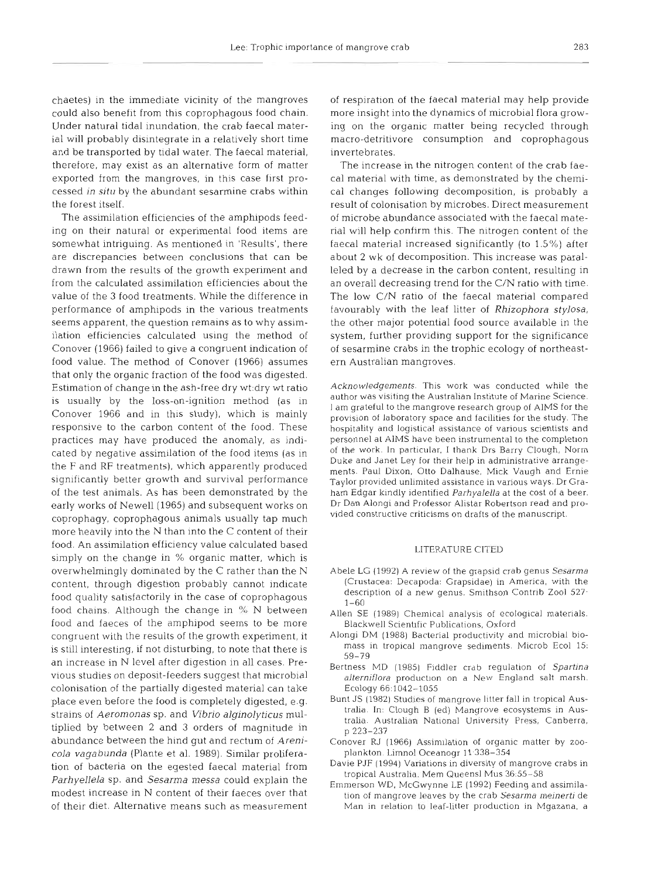chaetes) in the immediate vicinity of the mangroves could also benefit from this coprophagous food chain. Under natural tidal inundation, the crab faecal material will probably disintegrate in a relatively short time and be transported by tidal water. The faecal material, therefore, may exist as an alternative form of matter exported from the mangroves, in this case first processed in situ by the abundant sesarmine crabs within the forest itself.

The assimilation efficiencies of the amphipods feeding on their natural or experimental food items are somewhat intriguing. As mentioned in 'Results', there are discrepancies between conclusions that can be drawn from the results of the growth expeninent and from the calculated assimilation efficiencies about the value of the 3 food treatments. While the difference in performance of amphipods in the various treatments seems apparent, the question remains as to why assimilation efficiencies calculated using the method of Conover (1966) failed to give a congruent indication of food value. The method of Conover (1966) assumes that only the organic fraction of the food was digested. Estimation of change in the ash-free dry wt:dry wt ratio is usually by the loss-on-ignition method (as in Conover 1966 and in this study), which is mainly responsive to the carbon content of the food. These practices may have produced the anomaly, as indicated by negative assimilation of the food items (as in the F and RF treatments), which apparently produced significantly better growth and survival performance of the test animals. As has been demonstrated by the early works of Newell (1965) and subsequent works on coprophagy, coprophagous animals usually tap much more heavily into the N than into the C content of their food. An assimilation efficiency value calculated based simply on the change in % organic matter, which is overwhelmingly dominated by the C rather than the N content, through digestion probably cannot indicate food quality satisfactorily in the case of coprophagous food chains. Although the change in % N between food and faeces of the amphipod seems to be more congruent with the results of the growth experiment, it is still interesting, if not disturbing, to note that there is an increase in N level after digestion in all cases. Previous studies on deposit-feeders suggest that microbial colonisation of the partially digested material can take place even before the food is completely digested, e.g. strains of Aeromonas sp. and Vibrio alginolyticus multiplied by between 2 and 3 orders of magnitude in abundance between the hind gut and rectum of Arenicola vagabunda (Plante et al. 1989). Similar proliferation of bacteria on the egested faecal material from Parhyellela sp. and Sesarma messa could explain the modest increase in N content of their faeces over that of their diet. Alternative means such as measurement

of respiration of the faecal material may help provide more insight into the dynamics of microbial flora growing on the organic matter being recycled through macro-detritivore consumption and coprophagous invertebrates.

The increase in the nitrogen content of the crab faecal material with time, as demonstrated by the chemical changes following decomposition, is probably a result of colonisation by microbes. Direct measurement of microbe abundance associated with the faecal material will help confirm this. The nitrogen content of the faecal material increased significantly (to 1.5 %) after about 2 wk of decomposition. This increase was paralleled by a decrease in the carbon content, resulting in an overall decreasing trend for the C/N ratio with time. The low C/N ratio of the faecal material compared favourably with the leaf litter of Rhizophora stylosa, the other major potential food source available in the system, further providing support for the significance of sesarmine crabs in the trophic ecology of northeastern Australian mangroves.

Acknowledgements. This work was conducted while the author was visiting the Australian Institute of Marine Science. I am grateful to the mangrove research group of AlMS for the provision of laboratory space and facilities for the study. The hospitality and logistical assistance of various scientists and personnel at AIMS have been instrumental to the completion of the work. In particular, I thank Drs Barry Clough, Norm Duke and Janet Ley for their help in administrative arrangements. Paul Dixon. Otto Dalhause, Mick Vaugh and Ernie Taylor provided unlimited assistance in various ways. Dr Graham Edgar kindly identified Parhyalella at the cost of a beer. Dr Dan Alongi and Professor Alistar Robertson read and provided constructive criticisms on drafts of the manuscript.

### LITERATURE CITED

- Abele LG (1992) A review of the grapsid crab genus Sesarma (Crustacea: Decapoda: Grapsidae) in America, with the description of a new genus. Smithson Contrib Zoo1 527. 1-60
- Allen SE (1989) Chemical analysis of ecological materials. Blackwell Scientific Publications, Oxford
- Alongi DM (1988) Bacterial productivity and microbial biomass in tropical mangrove sediments. Microb Ecol 15: 59-79
- Bertness MD (1985) Fiddler crab regulation of Spartina a*lterniflora* production on a New England salt marsh. Ecology 66:1042-1055
- Bunt JS (1982) Studies of mangrove litter fall in tropical Australia. In: Clough B (ed) Mangrove ecosystems in Australia. Australian National University Press, Canberra, p 223-237
- Conover RJ (1966) Assimllation of organic matter by zooplankton. Limnol Oceanogr 11:338-354
- Davie PJF (1994) Variations in diversity of mangrove crabs in tropical Australia. Mem Queens1 Mus 36.55-58
- Emmerson WD, McGwynne LE (1992) Feeding and assimilation of mangrove leaves by the crab Sesarma meinerti de Man in relation to leaf-litter production in Mgazana, a